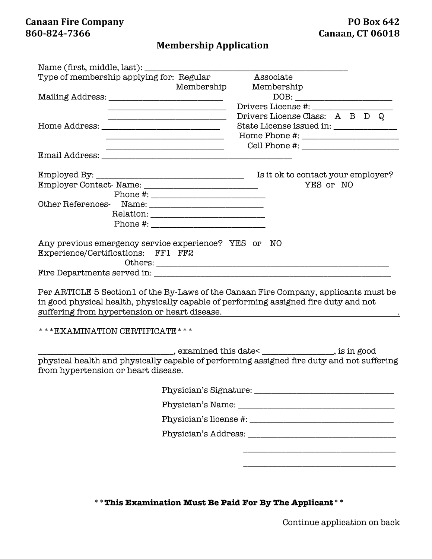## **Membership Application**

|                                                                                      | Type of membership applying for: Regular                                                                              | Associate                                                                                                                                                                                                                                                  |  |
|--------------------------------------------------------------------------------------|-----------------------------------------------------------------------------------------------------------------------|------------------------------------------------------------------------------------------------------------------------------------------------------------------------------------------------------------------------------------------------------------|--|
|                                                                                      | Membership                                                                                                            | Membership                                                                                                                                                                                                                                                 |  |
|                                                                                      |                                                                                                                       |                                                                                                                                                                                                                                                            |  |
|                                                                                      |                                                                                                                       | Drivers License #:                                                                                                                                                                                                                                         |  |
|                                                                                      | <u> 1989 - Johann John Stone, mars and de film and de film and de film and de film and de film and de film and de</u> | Drivers License Class: A B D Q                                                                                                                                                                                                                             |  |
|                                                                                      |                                                                                                                       | State License issued in: _____________                                                                                                                                                                                                                     |  |
|                                                                                      |                                                                                                                       |                                                                                                                                                                                                                                                            |  |
|                                                                                      |                                                                                                                       |                                                                                                                                                                                                                                                            |  |
|                                                                                      |                                                                                                                       |                                                                                                                                                                                                                                                            |  |
|                                                                                      |                                                                                                                       |                                                                                                                                                                                                                                                            |  |
|                                                                                      |                                                                                                                       | YES or NO                                                                                                                                                                                                                                                  |  |
|                                                                                      |                                                                                                                       |                                                                                                                                                                                                                                                            |  |
|                                                                                      |                                                                                                                       |                                                                                                                                                                                                                                                            |  |
|                                                                                      |                                                                                                                       |                                                                                                                                                                                                                                                            |  |
|                                                                                      |                                                                                                                       |                                                                                                                                                                                                                                                            |  |
|                                                                                      |                                                                                                                       |                                                                                                                                                                                                                                                            |  |
|                                                                                      |                                                                                                                       | Per ARTICLE 5 Section 1 of the By-Laws of the Canaan Fire Company, applicants must be<br>in good physical health, physically capable of performing assigned fire duty and not<br><u> 1989 - Johann Stein, mars an de Francisco Communication (f. 1989)</u> |  |
| *** EXAMINATION CERTIFICATE ***                                                      |                                                                                                                       |                                                                                                                                                                                                                                                            |  |
|                                                                                      |                                                                                                                       |                                                                                                                                                                                                                                                            |  |
|                                                                                      |                                                                                                                       | physical health and physically capable of performing assigned fire duty and not suffering                                                                                                                                                                  |  |
|                                                                                      |                                                                                                                       |                                                                                                                                                                                                                                                            |  |
| suffering from hypertension or heart disease.<br>from hypertension or heart disease. |                                                                                                                       |                                                                                                                                                                                                                                                            |  |
|                                                                                      |                                                                                                                       |                                                                                                                                                                                                                                                            |  |
|                                                                                      |                                                                                                                       |                                                                                                                                                                                                                                                            |  |
|                                                                                      |                                                                                                                       |                                                                                                                                                                                                                                                            |  |
|                                                                                      |                                                                                                                       |                                                                                                                                                                                                                                                            |  |
|                                                                                      |                                                                                                                       |                                                                                                                                                                                                                                                            |  |

\*\***This Examination Must Be Paid For By The Applicant\*\***

Continue application on back